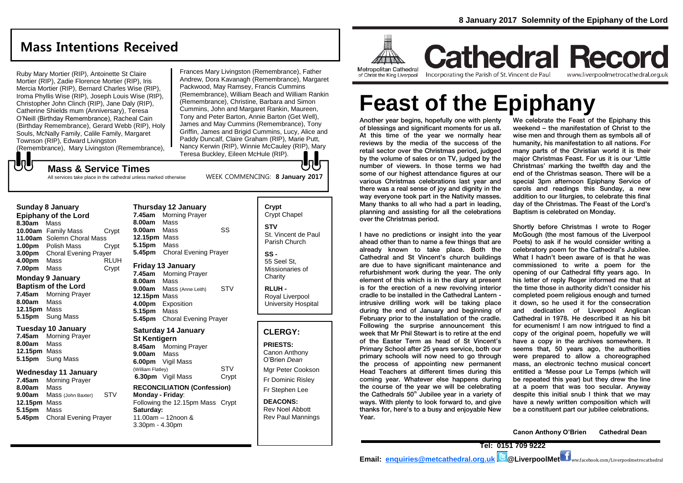# **Mass Intentions Received**

Ruby Mary Mortier (RIP), Antoinette St Claire Mortier (RIP), Zadie Florence Mortier (RIP), Iris Mercia Mortier (RIP), Bernard Charles Wise (RIP), Iroma Phyllis Wise (RIP), Joseph Louis Wise (RIP), Christopher John Clinch (RIP), Jane Daly (RIP), Catherine Shields mum (Anniversary), Teresa O'Neill (Birthday Remembrance), Racheal Cain (Birthday Remembrance), Gerard Webb (RIP), Holy Souls, McNally Family, Calile Family, Margaret Townson (RIP), Edward Livingston (Remembrance), Mary Livingston (Remembrance),

Frances Mary Livingston (Remembrance), Father Andrew, Dora Kavanagh (Remembrance), Margaret Packwood, May Ramsey, Francis Cummins (Remembrance), William Beach and William Rankin (Remembrance), Christine, Barbara and Simon Cummins, John and Margaret Rankin, Maureen, Tony and Peter Barton, Annie Barton (Get Well), James and May Cummins (Remembrance), Tony Griffin, James and Brigid Cummins, Lucy, Alice and Paddy Duncalf, Claire Graham (RIP), Marie Putt, Nancy Kerwin (RIP), Winnie McCauley (RIP), Mary Teresa Buckley, Eileen McHule (RIP). JŋU;

WEEK COMMENCING: **8 January 2017**

### **Mass & Service Times**

All services take place in the cathedral unless marked otherwise

### **Sunday 8 January**

**UU** 

**Epiphany of the Lord 8.30am** Mass **10.00am** Family Mass Crypt **11.00am** Solemn Choral Mass **1.00pm** Polish Mass Crypt **3.00pm** Choral Evening Prayer **4.00pm** Mass RLUH **7.00pm** Mass Crypt

## **Monday 9 January**

**Baptism of the Lord 7.45am** Morning Prayer **8.00am** Mass **12.15pm** Mass **5.15pm** Sung Mass

### **Tuesday 10 January 7.45am** Morning Prayer **8.00am** Mass

**12.15pm** Mass **5.15pm** Sung Mass

### **Wednesday 11 January**

**7.45am** Morning Prayer **8.00am** Mass **9.00am** Mass (John Baxter) STV **12.15pm** Mass **5.15pm** Mass **5.45pm** Choral Evening Prayer

### **Thursday 12 January 7.45am** Morning Prayer **8.00am** Mass **9.00am** Mass SS **12.15pm** Mass **5.15pm** Mass **5.45pm** Choral Evening Prayer **Friday 13 January 7.45am** Morning Prayer **8.00am** Mass **9.00am** Mass (Anne Leith) STV **12.15pm** Mass **4.00pm** Exposition **5.15pm** Mass **5.45pm** Choral Evening Prayer

# **Saturday 14 January**

**St Kentigern 8.45am** Morning Prayer **9.00am** Mass **6.00pm** Vigil Mass (William Flatley) STV **6.30pm** Vigil Mass Crypt

### **RECONCILIATION (Confession) Monday - Friday**: Following the 12.15pm Mass Crypt

**Saturday:** 11.00am – 12noon & 3.30pm - 4.30pm

**Crypt**  Crypt Chapel **STV** St. Vincent de Paul Parish Church **SS -** 55 Seel St, Missionaries of **Charity** 

**RLUH -** Royal Liverpool University Hospital

## **CLERGY:**

**PRIESTS:** Canon Anthony O'Brien *Dean* Mgr Peter Cookson Fr Dominic Risley Fr Stephen Lee

**DEACONS:** Rev Noel Abbott Rev Paul Mannings



of Christ the King Liverpool

Incorporating the Parish of St. Vincent de Paul

**Cathedral Record** www.liverpoolmetrocathedral.org.uk

# **Feast of the Epiphany**

Another year begins, hopefully one with plenty of blessings and significant moments for us all. At this time of the year we normally hear reviews by the media of the success of the retail sector over the Christmas period, judged by the volume of sales or on TV, judged by the number of viewers. In those terms we had some of our highest attendance figures at our various Christmas celebrations last year and there was a real sense of joy and dignity in the way everyone took part in the Nativity masses. Many thanks to all who had a part in leading, planning and assisting for all the celebrations over the Christmas period.

I have no predictions or insight into the year ahead other than to name a few things that are already known to take place. Both the Cathedral and St Vincent's church buildings are due to have significant maintenance and refurbishment work during the year. The only element of this which is in the diary at present is for the erection of a new revolving interior cradle to be installed in the Cathedral Lantern intrusive drilling work will be taking place during the end of January and beginning of February prior to the installation of the cradle. Following the surprise announcement this week that Mr Phil Stewart is to retire at the end of the Easter Term as head of St Vincent's Primary School after 25 years service, both our primary schools will now need to go through the process of appointing new permanent Head Teachers at different times during this coming year. Whatever else happens during the course of the year we will be celebrating the Cathedrals  $50<sup>th</sup>$  Jubilee year in a variety of ways. With plenty to look forward to, and give thanks for, here's to a busy and enjoyable New Year.

We celebrate the Feast of the Epiphany this weekend – the manifestation of Christ to the wise men and through them as symbols all of humanity, his manifestation to all nations. For many parts of the Christian world it is their major Christmas Feast. For us it is our 'Little Christmas' marking the twelfth day and the end of the Christmas season. There will be a special 3pm afternoon Epiphany Service of carols and readings this Sunday, a new addition to our liturgies, to celebrate this final day of the Christmas. The Feast of the Lord's Baptism is celebrated on Monday.

Shortly before Christmas I wrote to Roger McGough (the most famous of the Liverpool Poets) to ask if he would consider writing a celebratory poem for the Cathedral's Jubilee. What I hadn't been aware of is that he was commissioned to write a poem for the opening of our Cathedral fifty years ago. In his letter of reply Roger informed me that at the time those in authority didn't consider his completed poem religious enough and turned it down, so he used it for the consecration and dedication of Liverpool Anglican Cathedral in 1978. He described it as his bit for ecumenism! I am now intrigued to find a copy of the original poem, hopefully we will have a copy in the archives somewhere. It seems that, 50 years ago, the authorities were prepared to allow a choreographed mass, an electronic techno musical concert entitled a 'Messe pour Le Temps (which will be repeated this year) but they drew the line at a poem that was too secular. Anyway despite this initial snub I think that we may have a newly written composition which will be a constituent part our jubilee celebrations.

**Canon Anthony O'Brien Cathedral Dean**

**Tel: 0151 709 9222 Email: [enquiries@metcathedral.org.uk](mailto:enquiries@metcathedral.org.uk) | C**@LiverpoolMet ww.facebook.com/Liverpoolmetrocathedral